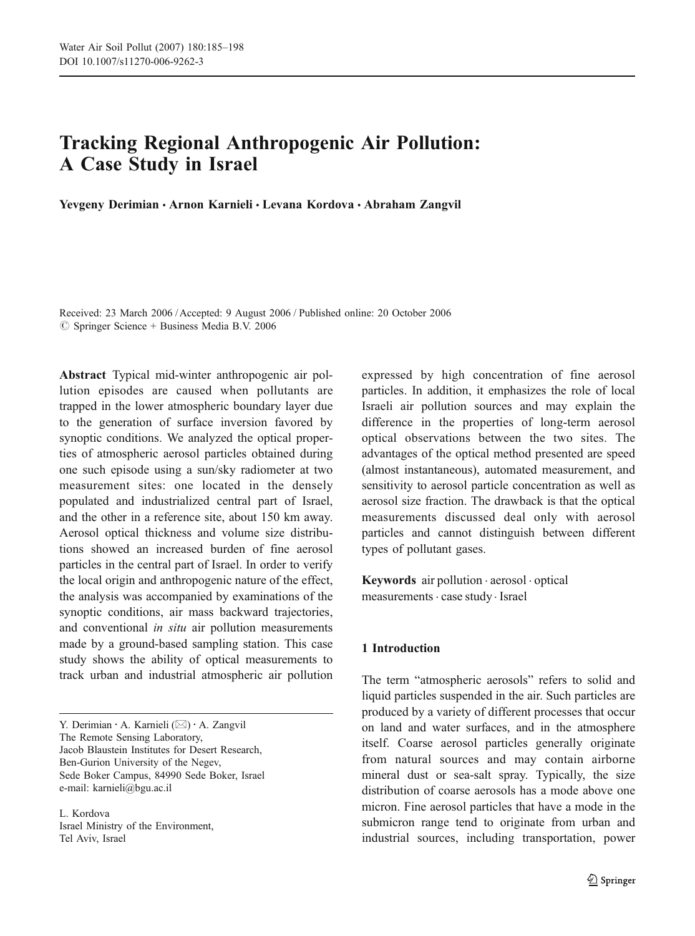# Tracking Regional Anthropogenic Air Pollution: A Case Study in Israel

Yevgeny Derimian · Arnon Karnieli · Levana Kordova · Abraham Zangvil

Received: 23 March 2006 /Accepted: 9 August 2006 / Published online: 20 October 2006  $\circledcirc$  Springer Science + Business Media B.V. 2006

Abstract Typical mid-winter anthropogenic air pollution episodes are caused when pollutants are trapped in the lower atmospheric boundary layer due to the generation of surface inversion favored by synoptic conditions. We analyzed the optical properties of atmospheric aerosol particles obtained during one such episode using a sun/sky radiometer at two measurement sites: one located in the densely populated and industrialized central part of Israel, and the other in a reference site, about 150 km away. Aerosol optical thickness and volume size distributions showed an increased burden of fine aerosol particles in the central part of Israel. In order to verify the local origin and anthropogenic nature of the effect, the analysis was accompanied by examinations of the synoptic conditions, air mass backward trajectories, and conventional in situ air pollution measurements made by a ground-based sampling station. This case study shows the ability of optical measurements to track urban and industrial atmospheric air pollution

Y. Derimian · A. Karnieli (⊠) · A. Zangvil The Remote Sensing Laboratory, Jacob Blaustein Institutes for Desert Research, Ben-Gurion University of the Negev, Sede Boker Campus, 84990 Sede Boker, Israel e-mail: karnieli@bgu.ac.il

L. Kordova Israel Ministry of the Environment, Tel Aviv, Israel

expressed by high concentration of fine aerosol particles. In addition, it emphasizes the role of local Israeli air pollution sources and may explain the difference in the properties of long-term aerosol optical observations between the two sites. The advantages of the optical method presented are speed (almost instantaneous), automated measurement, and sensitivity to aerosol particle concentration as well as aerosol size fraction. The drawback is that the optical measurements discussed deal only with aerosol particles and cannot distinguish between different types of pollutant gases.

Keywords air pollution · aerosol · optical measurements · case study · Israel

# 1 Introduction

The term "atmospheric aerosols" refers to solid and liquid particles suspended in the air. Such particles are produced by a variety of different processes that occur on land and water surfaces, and in the atmosphere itself. Coarse aerosol particles generally originate from natural sources and may contain airborne mineral dust or sea-salt spray. Typically, the size distribution of coarse aerosols has a mode above one micron. Fine aerosol particles that have a mode in the submicron range tend to originate from urban and industrial sources, including transportation, power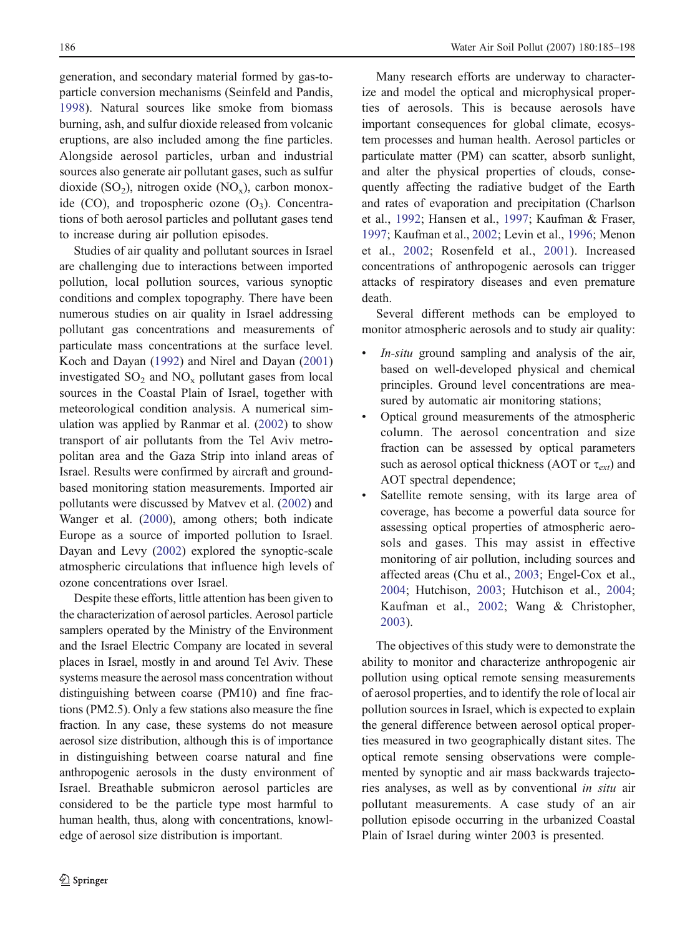generation, and secondary material formed by gas-toparticle conversion mechanisms (Seinfeld and Pandis, [1998](#page-13-0)). Natural sources like smoke from biomass burning, ash, and sulfur dioxide released from volcanic eruptions, are also included among the fine particles. Alongside aerosol particles, urban and industrial sources also generate air pollutant gases, such as sulfur dioxide  $(SO_2)$ , nitrogen oxide  $(NO_x)$ , carbon monoxide (CO), and tropospheric ozone  $(O_3)$ . Concentrations of both aerosol particles and pollutant gases tend to increase during air pollution episodes.

Studies of air quality and pollutant sources in Israel are challenging due to interactions between imported pollution, local pollution sources, various synoptic conditions and complex topography. There have been numerous studies on air quality in Israel addressing pollutant gas concentrations and measurements of particulate mass concentrations at the surface level. Koch and Dayan [\(1992](#page-12-0)) and Nirel and Dayan [\(2001](#page-13-0)) investigated  $SO_2$  and  $NO_x$  pollutant gases from local sources in the Coastal Plain of Israel, together with meteorological condition analysis. A numerical simulation was applied by Ranmar et al. [\(2002](#page-13-0)) to show transport of air pollutants from the Tel Aviv metropolitan area and the Gaza Strip into inland areas of Israel. Results were confirmed by aircraft and groundbased monitoring station measurements. Imported air pollutants were discussed by Matvev et al. [\(2002](#page-12-0)) and Wanger et al. [\(2000](#page-13-0)), among others; both indicate Europe as a source of imported pollution to Israel. Dayan and Levy [\(2002](#page-11-0)) explored the synoptic-scale atmospheric circulations that influence high levels of ozone concentrations over Israel.

Despite these efforts, little attention has been given to the characterization of aerosol particles. Aerosol particle samplers operated by the Ministry of the Environment and the Israel Electric Company are located in several places in Israel, mostly in and around Tel Aviv. These systems measure the aerosol mass concentration without distinguishing between coarse (PM10) and fine fractions (PM2.5). Only a few stations also measure the fine fraction. In any case, these systems do not measure aerosol size distribution, although this is of importance in distinguishing between coarse natural and fine anthropogenic aerosols in the dusty environment of Israel. Breathable submicron aerosol particles are considered to be the particle type most harmful to human health, thus, along with concentrations, knowledge of aerosol size distribution is important.

Many research efforts are underway to characterize and model the optical and microphysical properties of aerosols. This is because aerosols have important consequences for global climate, ecosystem processes and human health. Aerosol particles or particulate matter (PM) can scatter, absorb sunlight, and alter the physical properties of clouds, consequently affecting the radiative budget of the Earth and rates of evaporation and precipitation (Charlson et al., [1992](#page-11-0); Hansen et al., [1997](#page-12-0); Kaufman & Fraser, [1997](#page-12-0); Kaufman et al., [2002](#page-12-0); Levin et al., [1996](#page-12-0); Menon et al., [2002](#page-13-0); Rosenfeld et al., [2001](#page-13-0)). Increased concentrations of anthropogenic aerosols can trigger attacks of respiratory diseases and even premature death.

Several different methods can be employed to monitor atmospheric aerosols and to study air quality:

- $In-situ$  ground sampling and analysis of the air, based on well-developed physical and chemical principles. Ground level concentrations are measured by automatic air monitoring stations;
- & Optical ground measurements of the atmospheric column. The aerosol concentration and size fraction can be assessed by optical parameters such as aerosol optical thickness (AOT or  $\tau_{ext}$ ) and AOT spectral dependence;
- Satellite remote sensing, with its large area of coverage, has become a powerful data source for assessing optical properties of atmospheric aerosols and gases. This may assist in effective monitoring of air pollution, including sources and affected areas (Chu et al., [2003](#page-11-0); Engel-Cox et al., [2004](#page-12-0); Hutchison, [2003](#page-12-0); Hutchison et al., [2004](#page-12-0); Kaufman et al., [2002](#page-12-0); Wang & Christopher, [2003](#page-13-0)).

The objectives of this study were to demonstrate the ability to monitor and characterize anthropogenic air pollution using optical remote sensing measurements of aerosol properties, and to identify the role of local air pollution sources in Israel, which is expected to explain the general difference between aerosol optical properties measured in two geographically distant sites. The optical remote sensing observations were complemented by synoptic and air mass backwards trajectories analyses, as well as by conventional in situ air pollutant measurements. A case study of an air pollution episode occurring in the urbanized Coastal Plain of Israel during winter 2003 is presented.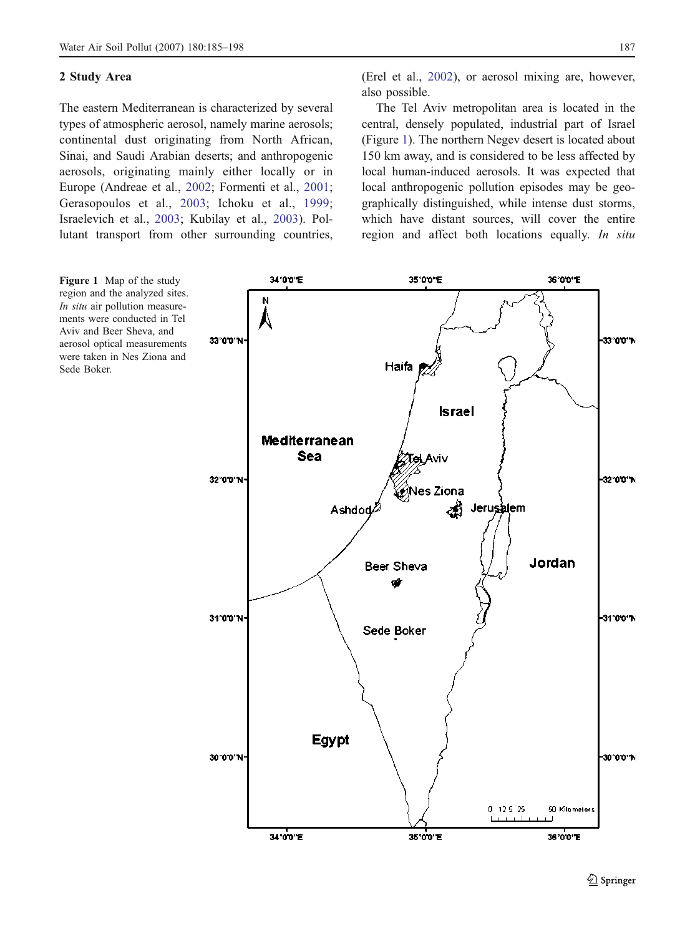## <span id="page-2-0"></span>2 Study Area

The eastern Mediterranean is characterized by several types of atmospheric aerosol, namely marine aerosols; continental dust originating from North African, Sinai, and Saudi Arabian deserts; and anthropogenic aerosols, originating mainly either locally or in Europe (Andreae et al., [2002](#page-11-0); Formenti et al., [2001](#page-12-0); Gerasopoulos et al., [2003](#page-12-0); Ichoku et al., [1999](#page-12-0); Israelevich et al., [2003](#page-12-0); Kubilay et al., [2003](#page-12-0)). Pollutant transport from other surrounding countries, (Erel et al., [2002](#page-12-0)), or aerosol mixing are, however, also possible.

The Tel Aviv metropolitan area is located in the central, densely populated, industrial part of Israel (Figure 1). The northern Negev desert is located about 150 km away, and is considered to be less affected by local human-induced aerosols. It was expected that local anthropogenic pollution episodes may be geographically distinguished, while intense dust storms, which have distant sources, will cover the entire region and affect both locations equally. In situ



region and the analyzed sites. In situ air pollution measurements were conducted in Tel Aviv and Beer Sheva, and aerosol optical measurements were taken in Nes Ziona and Sede Boker.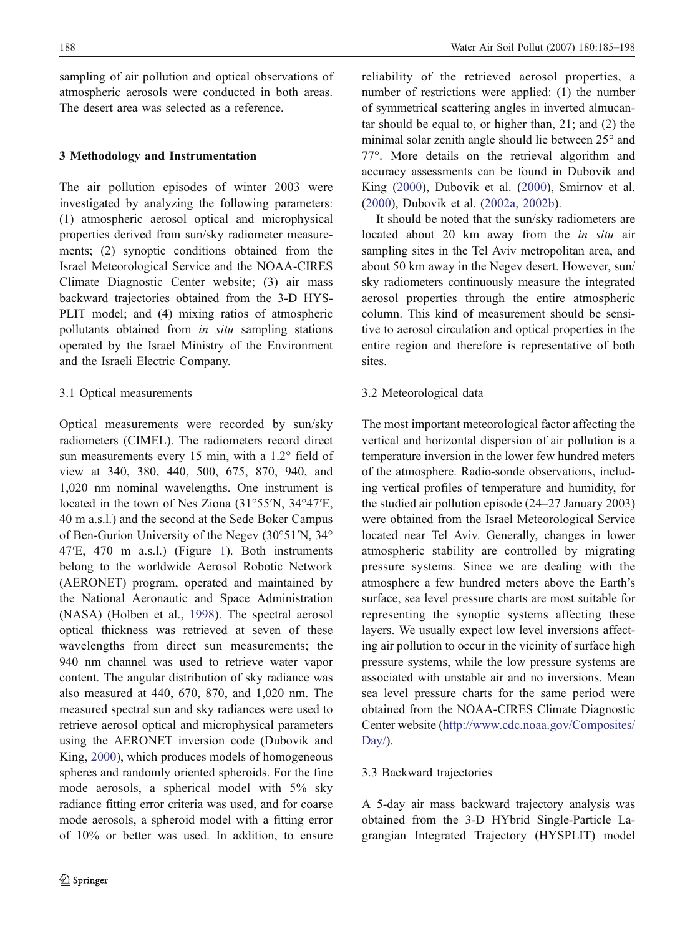sampling of air pollution and optical observations of atmospheric aerosols were conducted in both areas. The desert area was selected as a reference.

# 3 Methodology and Instrumentation

The air pollution episodes of winter 2003 were investigated by analyzing the following parameters: (1) atmospheric aerosol optical and microphysical properties derived from sun/sky radiometer measurements; (2) synoptic conditions obtained from the Israel Meteorological Service and the NOAA-CIRES Climate Diagnostic Center website; (3) air mass backward trajectories obtained from the 3-D HYS-PLIT model; and (4) mixing ratios of atmospheric pollutants obtained from in situ sampling stations operated by the Israel Ministry of the Environment and the Israeli Electric Company.

# 3.1 Optical measurements

Optical measurements were recorded by sun/sky radiometers (CIMEL). The radiometers record direct sun measurements every 15 min, with a 1.2° field of view at 340, 380, 440, 500, 675, 870, 940, and 1,020 nm nominal wavelengths. One instrument is located in the town of Nes Ziona (31°55′N, 34°47′E, 40 m a.s.l.) and the second at the Sede Boker Campus of Ben-Gurion University of the Negev (30°51′N, 34° 47′E, 470 m a.s.l.) (Figure [1](#page-2-0)). Both instruments belong to the worldwide Aerosol Robotic Network (AERONET) program, operated and maintained by the National Aeronautic and Space Administration (NASA) (Holben et al., [1998](#page-12-0)). The spectral aerosol optical thickness was retrieved at seven of these wavelengths from direct sun measurements; the 940 nm channel was used to retrieve water vapor content. The angular distribution of sky radiance was also measured at 440, 670, 870, and 1,020 nm. The measured spectral sun and sky radiances were used to retrieve aerosol optical and microphysical parameters using the AERONET inversion code (Dubovik and King, [2000](#page-12-0)), which produces models of homogeneous spheres and randomly oriented spheroids. For the fine mode aerosols, a spherical model with 5% sky radiance fitting error criteria was used, and for coarse mode aerosols, a spheroid model with a fitting error of 10% or better was used. In addition, to ensure

reliability of the retrieved aerosol properties, a number of restrictions were applied: (1) the number of symmetrical scattering angles in inverted almucantar should be equal to, or higher than, 21; and (2) the minimal solar zenith angle should lie between 25° and 77°. More details on the retrieval algorithm and accuracy assessments can be found in Dubovik and King [\(2000](#page-12-0)), Dubovik et al. [\(2000](#page-12-0)), Smirnov et al. [\(2000](#page-13-0)), Dubovik et al. [\(2002a](#page-12-0), [2002b](#page-12-0)).

It should be noted that the sun/sky radiometers are located about 20 km away from the in situ air sampling sites in the Tel Aviv metropolitan area, and about 50 km away in the Negev desert. However, sun/ sky radiometers continuously measure the integrated aerosol properties through the entire atmospheric column. This kind of measurement should be sensitive to aerosol circulation and optical properties in the entire region and therefore is representative of both sites.

# 3.2 Meteorological data

The most important meteorological factor affecting the vertical and horizontal dispersion of air pollution is a temperature inversion in the lower few hundred meters of the atmosphere. Radio-sonde observations, including vertical profiles of temperature and humidity, for the studied air pollution episode (24–27 January 2003) were obtained from the Israel Meteorological Service located near Tel Aviv. Generally, changes in lower atmospheric stability are controlled by migrating pressure systems. Since we are dealing with the atmosphere a few hundred meters above the Earth's surface, sea level pressure charts are most suitable for representing the synoptic systems affecting these layers. We usually expect low level inversions affecting air pollution to occur in the vicinity of surface high pressure systems, while the low pressure systems are associated with unstable air and no inversions. Mean sea level pressure charts for the same period were obtained from the NOAA-CIRES Climate Diagnostic Center website [\(http://www.cdc.noaa.gov/Composites](http://www.cdc.noaa.gov/Composites/Day/)/  $Dav$ .

# 3.3 Backward trajectories

A 5-day air mass backward trajectory analysis was obtained from the 3-D HYbrid Single-Particle Lagrangian Integrated Trajectory (HYSPLIT) model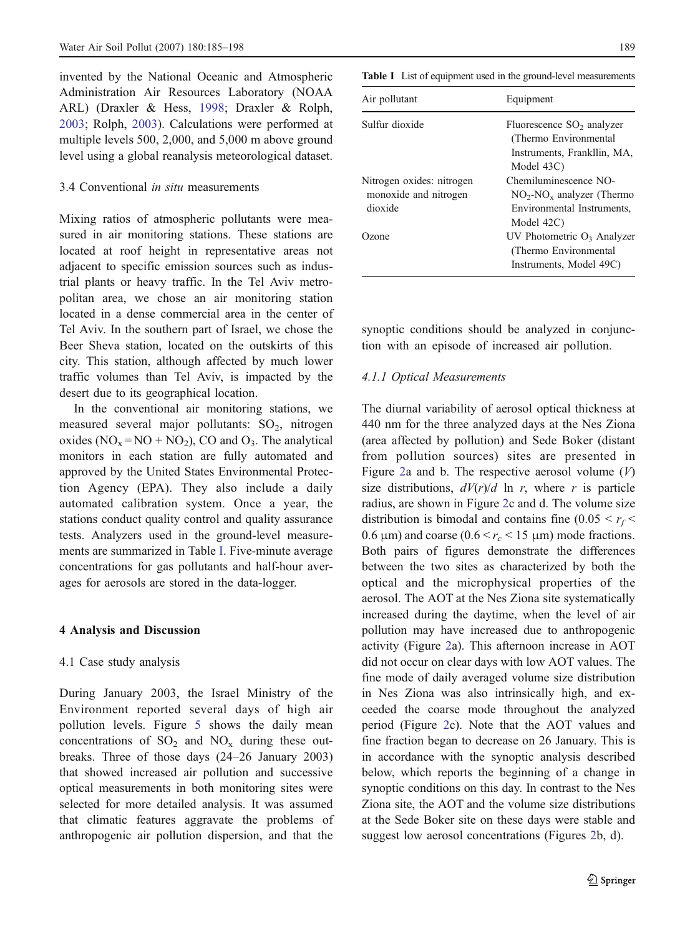invented by the National Oceanic and Atmospheric Administration Air Resources Laboratory (NOAA ARL) (Draxler & Hess, [1998](#page-12-0); Draxler & Rolph, [2003](#page-12-0); Rolph, [2003](#page-13-0)). Calculations were performed at multiple levels 500, 2,000, and 5,000 m above ground level using a global reanalysis meteorological dataset.

# 3.4 Conventional in situ measurements

Mixing ratios of atmospheric pollutants were measured in air monitoring stations. These stations are located at roof height in representative areas not adjacent to specific emission sources such as industrial plants or heavy traffic. In the Tel Aviv metropolitan area, we chose an air monitoring station located in a dense commercial area in the center of Tel Aviv. In the southern part of Israel, we chose the Beer Sheva station, located on the outskirts of this city. This station, although affected by much lower traffic volumes than Tel Aviv, is impacted by the desert due to its geographical location.

In the conventional air monitoring stations, we measured several major pollutants:  $SO<sub>2</sub>$ , nitrogen oxides  $(NO<sub>x</sub>=NO + NO<sub>2</sub>)$ , CO and  $O<sub>3</sub>$ . The analytical monitors in each station are fully automated and approved by the United States Environmental Protection Agency (EPA). They also include a daily automated calibration system. Once a year, the stations conduct quality control and quality assurance tests. Analyzers used in the ground-level measurements are summarized in Table I. Five-minute average concentrations for gas pollutants and half-hour averages for aerosols are stored in the data-logger.

## 4 Analysis and Discussion

#### 4.1 Case study analysis

During January 2003, the Israel Ministry of the Environment reported several days of high air pollution levels. Figure [5](#page-8-0) shows the daily mean concentrations of  $SO_2$  and  $NO_x$  during these outbreaks. Three of those days (24–26 January 2003) that showed increased air pollution and successive optical measurements in both monitoring sites were selected for more detailed analysis. It was assumed that climatic features aggravate the problems of anthropogenic air pollution dispersion, and that the

Table I List of equipment used in the ground-level measurements

| Air pollutant                                                 | Equipment                                                                                         |
|---------------------------------------------------------------|---------------------------------------------------------------------------------------------------|
| Sulfur dioxide                                                | Fluorescence $SO2$ analyzer<br>(Thermo Environmental<br>Instruments, Frankllin, MA,<br>Model 43C) |
| Nitrogen oxides: nitrogen<br>monoxide and nitrogen<br>dioxide | Chemiluminescence NO-<br>$NO2-NOx$ analyzer (Thermo<br>Environmental Instruments,<br>Model 42C)   |
| Dzone.                                                        | UV Photometric $O_3$ Analyzer<br>(Thermo Environmental<br>Instruments, Model 49C)                 |

synoptic conditions should be analyzed in conjunction with an episode of increased air pollution.

## 4.1.1 Optical Measurements

The diurnal variability of aerosol optical thickness at 440 nm for the three analyzed days at the Nes Ziona (area affected by pollution) and Sede Boker (distant from pollution sources) sites are presented in Figure [2](#page-5-0)a and b. The respective aerosol volume  $(V)$ size distributions,  $dV(r)/d$  ln r, where r is particle radius, are shown in Figure [2](#page-5-0)c and d. The volume size distribution is bimodal and contains fine  $(0.05 \le r_f \le$ 0.6 μm) and coarse  $(0.6 \le r_c \le 15 \text{ }\mu\text{m})$  mode fractions. Both pairs of figures demonstrate the differences between the two sites as characterized by both the optical and the microphysical properties of the aerosol. The AOT at the Nes Ziona site systematically increased during the daytime, when the level of air pollution may have increased due to anthropogenic activity (Figure [2](#page-5-0)a). This afternoon increase in AOT did not occur on clear days with low AOT values. The fine mode of daily averaged volume size distribution in Nes Ziona was also intrinsically high, and exceeded the coarse mode throughout the analyzed period (Figure [2](#page-5-0)c). Note that the AOT values and fine fraction began to decrease on 26 January. This is in accordance with the synoptic analysis described below, which reports the beginning of a change in synoptic conditions on this day. In contrast to the Nes Ziona site, the AOT and the volume size distributions at the Sede Boker site on these days were stable and suggest low aerosol concentrations (Figures [2](#page-5-0)b, d).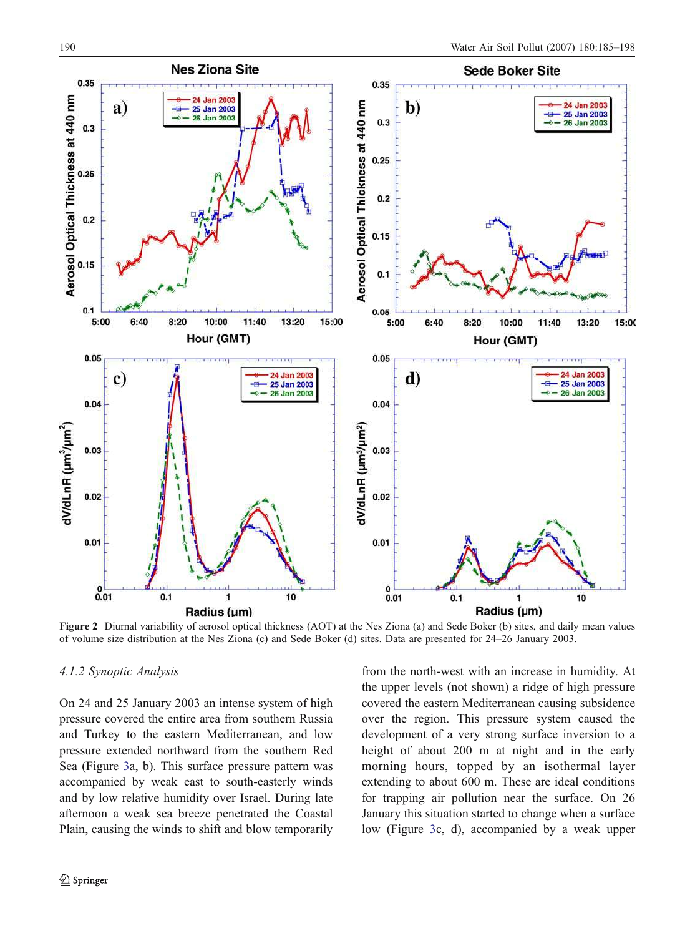<span id="page-5-0"></span>

Figure 2 Diurnal variability of aerosol optical thickness (AOT) at the Nes Ziona (a) and Sede Boker (b) sites, and daily mean values of volume size distribution at the Nes Ziona (c) and Sede Boker (d) sites. Data are presented for 24–26 January 2003.

#### 4.1.2 Synoptic Analysis

On 24 and 25 January 2003 an intense system of high pressure covered the entire area from southern Russia and Turkey to the eastern Mediterranean, and low pressure extended northward from the southern Red Sea (Figure [3](#page-6-0)a, b). This surface pressure pattern was accompanied by weak east to south-easterly winds and by low relative humidity over Israel. During late afternoon a weak sea breeze penetrated the Coastal Plain, causing the winds to shift and blow temporarily from the north-west with an increase in humidity. At the upper levels (not shown) a ridge of high pressure covered the eastern Mediterranean causing subsidence over the region. This pressure system caused the development of a very strong surface inversion to a height of about 200 m at night and in the early morning hours, topped by an isothermal layer extending to about 600 m. These are ideal conditions for trapping air pollution near the surface. On 26 January this situation started to change when a surface low (Figure [3](#page-6-0)c, d), accompanied by a weak upper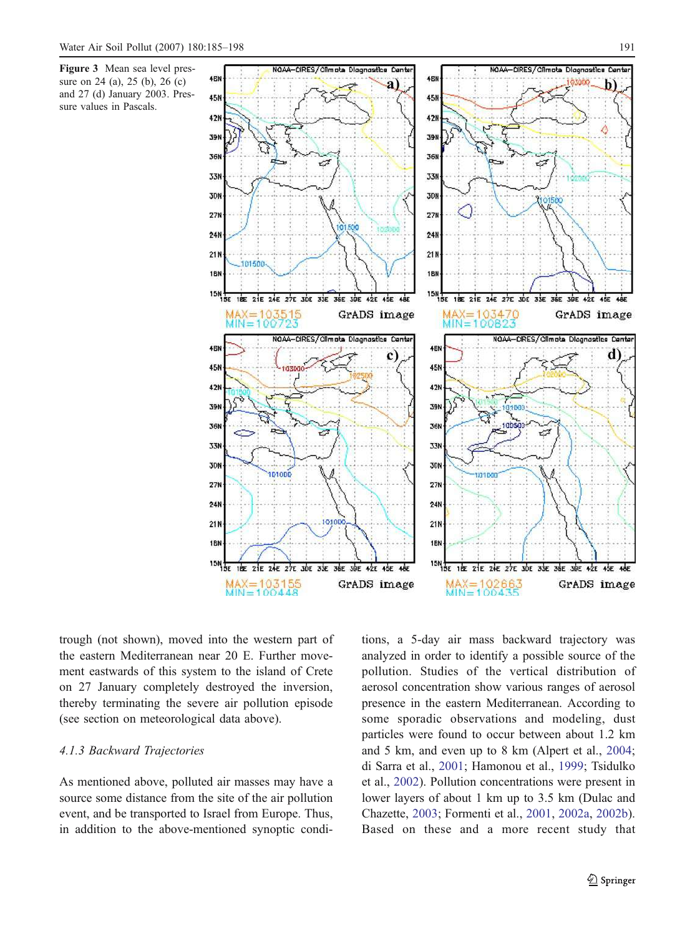<span id="page-6-0"></span>Figure 3 Mean sea level pressure on 24 (a), 25 (b), 26 (c) and 27 (d) January 2003. Pressure values in Pascals.



trough (not shown), moved into the western part of the eastern Mediterranean near 20 E. Further movement eastwards of this system to the island of Crete on 27 January completely destroyed the inversion, thereby terminating the severe air pollution episode (see section on meteorological data above).

## 4.1.3 Backward Trajectories

As mentioned above, polluted air masses may have a source some distance from the site of the air pollution event, and be transported to Israel from Europe. Thus, in addition to the above-mentioned synoptic conditions, a 5-day air mass backward trajectory was analyzed in order to identify a possible source of the pollution. Studies of the vertical distribution of aerosol concentration show various ranges of aerosol presence in the eastern Mediterranean. According to some sporadic observations and modeling, dust particles were found to occur between about 1.2 km and 5 km, and even up to 8 km (Alpert et al., [2004](#page-11-0); di Sarra et al., [2001](#page-12-0); Hamonou et al., [1999](#page-12-0); Tsidulko et al., [2002](#page-13-0)). Pollution concentrations were present in lower layers of about 1 km up to 3.5 km (Dulac and Chazette, [2003](#page-12-0); Formenti et al., [2001](#page-12-0), [2002a](#page-12-0), [2002b](#page-12-0)). Based on these and a more recent study that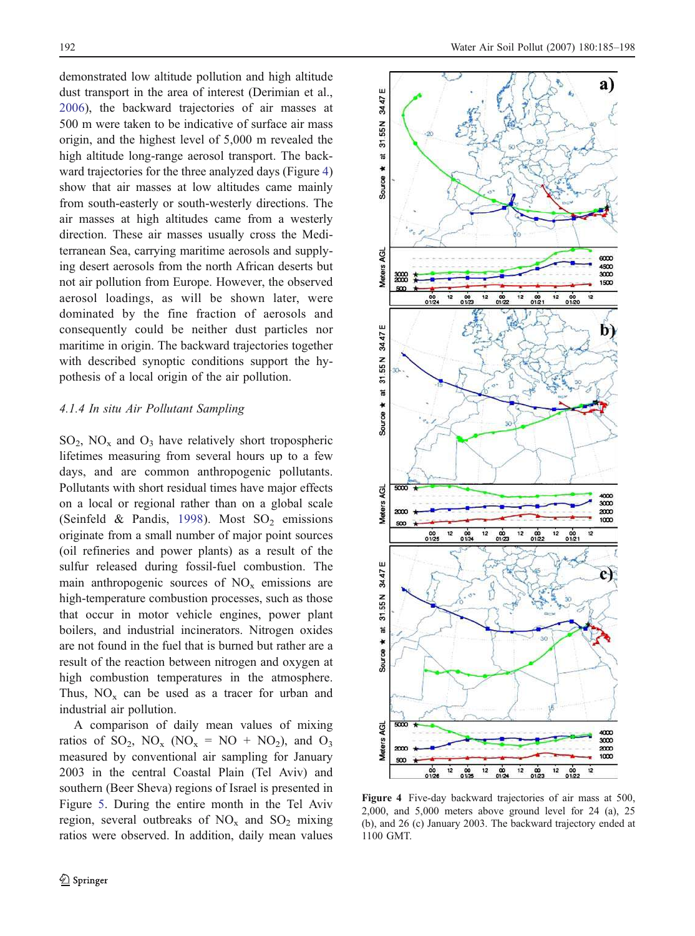demonstrated low altitude pollution and high altitude dust transport in the area of interest (Derimian et al., [2006](#page-12-0)), the backward trajectories of air masses at 500 m were taken to be indicative of surface air mass origin, and the highest level of 5,000 m revealed the high altitude long-range aerosol transport. The backward trajectories for the three analyzed days (Figure 4) show that air masses at low altitudes came mainly from south-easterly or south-westerly directions. The air masses at high altitudes came from a westerly direction. These air masses usually cross the Mediterranean Sea, carrying maritime aerosols and supplying desert aerosols from the north African deserts but not air pollution from Europe. However, the observed aerosol loadings, as will be shown later, were dominated by the fine fraction of aerosols and consequently could be neither dust particles nor maritime in origin. The backward trajectories together with described synoptic conditions support the hypothesis of a local origin of the air pollution.

## 4.1.4 In situ Air Pollutant Sampling

 $SO_2$ ,  $NO_x$  and  $O_3$  have relatively short tropospheric lifetimes measuring from several hours up to a few days, and are common anthropogenic pollutants. Pollutants with short residual times have major effects on a local or regional rather than on a global scale (Seinfeld & Pandis, [1998](#page-13-0)). Most  $SO_2$  emissions originate from a small number of major point sources (oil refineries and power plants) as a result of the sulfur released during fossil-fuel combustion. The main anthropogenic sources of  $NO<sub>x</sub>$  emissions are high-temperature combustion processes, such as those that occur in motor vehicle engines, power plant boilers, and industrial incinerators. Nitrogen oxides are not found in the fuel that is burned but rather are a result of the reaction between nitrogen and oxygen at high combustion temperatures in the atmosphere. Thus,  $NO<sub>x</sub>$  can be used as a tracer for urban and industrial air pollution.

A comparison of daily mean values of mixing ratios of  $SO_2$ ,  $NO_x$  ( $NO_x$  =  $NO + NO_2$ ), and  $O_3$ measured by conventional air sampling for January 2003 in the central Coastal Plain (Tel Aviv) and southern (Beer Sheva) regions of Israel is presented in Figure [5](#page-8-0). During the entire month in the Tel Aviv region, several outbreaks of  $NO<sub>x</sub>$  and  $SO<sub>2</sub>$  mixing ratios were observed. In addition, daily mean values



Figure 4 Five-day backward trajectories of air mass at 500, 2,000, and 5,000 meters above ground level for 24 (a), 25 (b), and 26 (c) January 2003. The backward trajectory ended at 1100 GMT.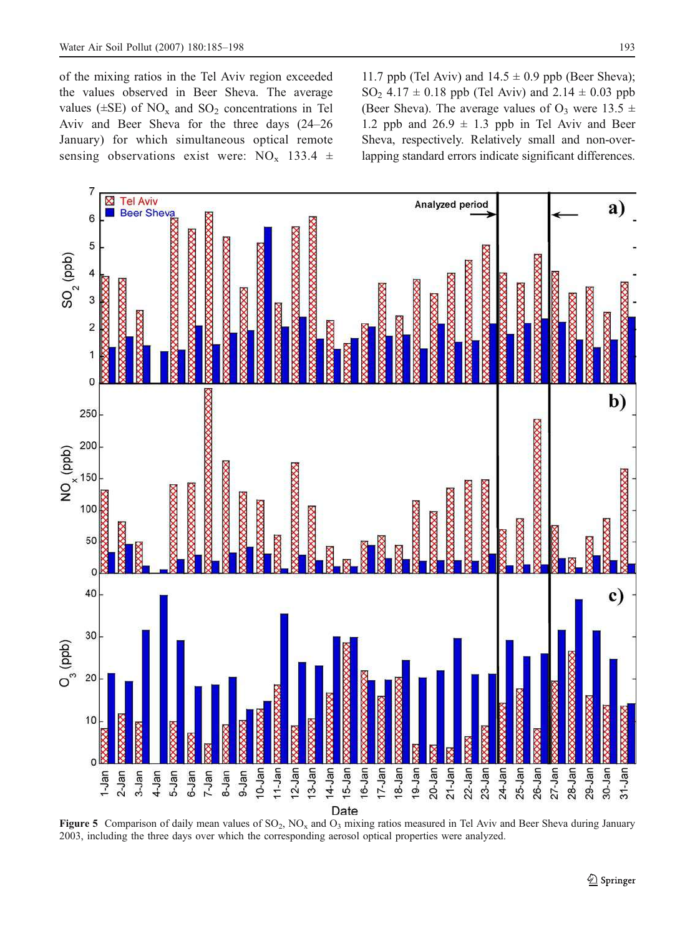<span id="page-8-0"></span>of the mixing ratios in the Tel Aviv region exceeded the values observed in Beer Sheva. The average values ( $\pm$ SE) of NO<sub>x</sub> and SO<sub>2</sub> concentrations in Tel Aviv and Beer Sheva for the three days (24–26 January) for which simultaneous optical remote sensing observations exist were:  $NO_x$  133.4  $\pm$  11.7 ppb (Tel Aviv) and  $14.5 \pm 0.9$  ppb (Beer Sheva);  $SO_2$  4.17  $\pm$  0.18 ppb (Tel Aviv) and 2.14  $\pm$  0.03 ppb (Beer Sheva). The average values of O<sub>3</sub> were 13.5  $\pm$ 1.2 ppb and  $26.9 \pm 1.3$  ppb in Tel Aviv and Beer Sheva, respectively. Relatively small and non-overlapping standard errors indicate significant differences.



Figure 5 Comparison of daily mean values of  $SO_2$ ,  $NO_x$  and  $O_3$  mixing ratios measured in Tel Aviv and Beer Sheva during January 2003, including the three days over which the corresponding aerosol optical properties were analyzed.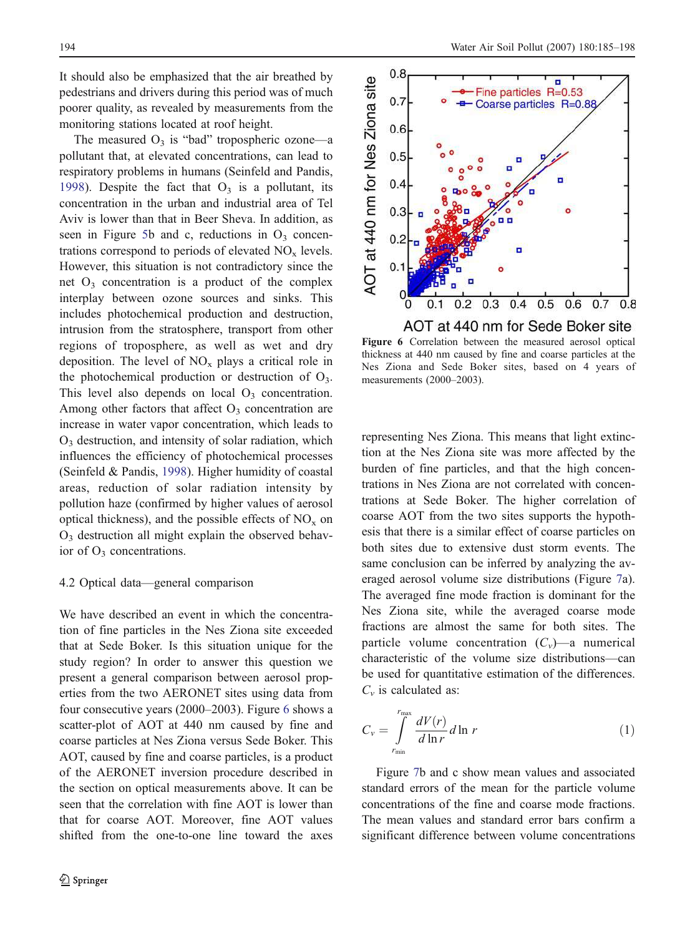It should also be emphasized that the air breathed by pedestrians and drivers during this period was of much poorer quality, as revealed by measurements from the monitoring stations located at roof height.

The measured  $O_3$  is "bad" tropospheric ozone—a pollutant that, at elevated concentrations, can lead to respiratory problems in humans (Seinfeld and Pandis, [1998](#page-13-0)). Despite the fact that  $O_3$  is a pollutant, its concentration in the urban and industrial area of Tel Aviv is lower than that in Beer Sheva. In addition, as seen in Figure [5](#page-8-0)b and c, reductions in  $O<sub>3</sub>$  concentrations correspond to periods of elevated  $NO<sub>x</sub>$  levels. However, this situation is not contradictory since the net  $O_3$  concentration is a product of the complex interplay between ozone sources and sinks. This includes photochemical production and destruction, intrusion from the stratosphere, transport from other regions of troposphere, as well as wet and dry deposition. The level of  $NO<sub>x</sub>$  plays a critical role in the photochemical production or destruction of  $O_3$ . This level also depends on local  $O_3$  concentration. Among other factors that affect  $O<sub>3</sub>$  concentration are increase in water vapor concentration, which leads to  $O<sub>3</sub>$  destruction, and intensity of solar radiation, which influences the efficiency of photochemical processes (Seinfeld & Pandis, [1998](#page-13-0)). Higher humidity of coastal areas, reduction of solar radiation intensity by pollution haze (confirmed by higher values of aerosol optical thickness), and the possible effects of  $NO<sub>x</sub>$  on  $O<sub>3</sub>$  destruction all might explain the observed behavior of  $O_3$  concentrations.

## 4.2 Optical data—general comparison

We have described an event in which the concentration of fine particles in the Nes Ziona site exceeded that at Sede Boker. Is this situation unique for the study region? In order to answer this question we present a general comparison between aerosol properties from the two AERONET sites using data from four consecutive years (2000–2003). Figure 6 shows a scatter-plot of AOT at 440 nm caused by fine and coarse particles at Nes Ziona versus Sede Boker. This AOT, caused by fine and coarse particles, is a product of the AERONET inversion procedure described in the section on optical measurements above. It can be seen that the correlation with fine AOT is lower than that for coarse AOT. Moreover, fine AOT values shifted from the one-to-one line toward the axes



Figure 6 Correlation between the measured aerosol optical thickness at 440 nm caused by fine and coarse particles at the Nes Ziona and Sede Boker sites, based on 4 years of measurements (2000–2003).

representing Nes Ziona. This means that light extinction at the Nes Ziona site was more affected by the burden of fine particles, and that the high concentrations in Nes Ziona are not correlated with concentrations at Sede Boker. The higher correlation of coarse AOT from the two sites supports the hypothesis that there is a similar effect of coarse particles on both sites due to extensive dust storm events. The same conclusion can be inferred by analyzing the averaged aerosol volume size distributions (Figure [7](#page-10-0)a). The averaged fine mode fraction is dominant for the Nes Ziona site, while the averaged coarse mode fractions are almost the same for both sites. The particle volume concentration  $(C_v)$ —a numerical characteristic of the volume size distributions—can be used for quantitative estimation of the differences.  $C_v$  is calculated as:

$$
C_{v} = \int_{r_{\min}}^{r_{\max}} \frac{dV(r)}{d\ln r} d\ln r \tag{1}
$$

Figure [7](#page-10-0)b and c show mean values and associated standard errors of the mean for the particle volume concentrations of the fine and coarse mode fractions. The mean values and standard error bars confirm a significant difference between volume concentrations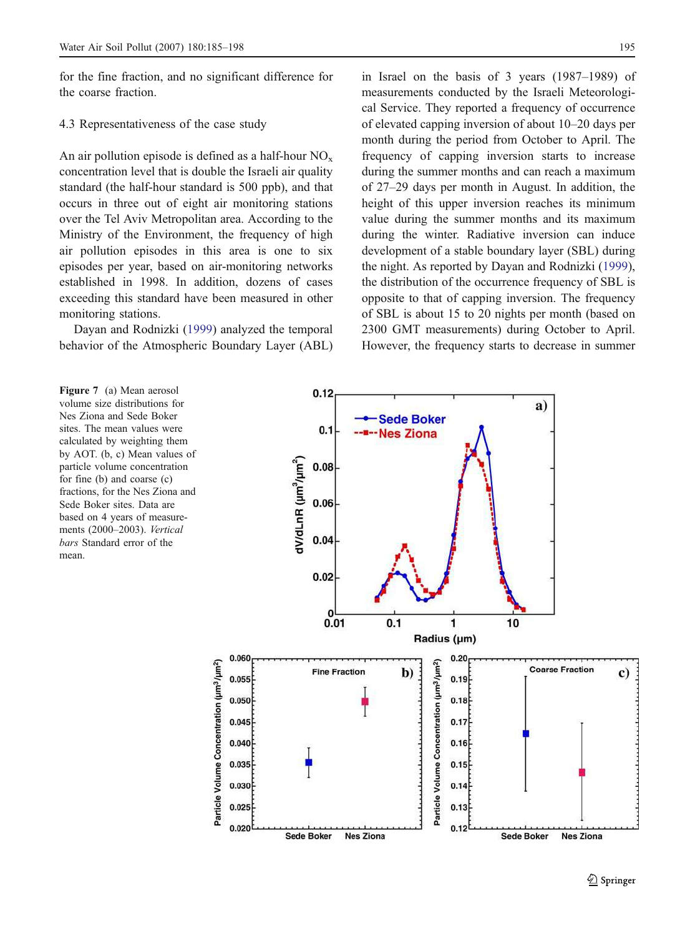<span id="page-10-0"></span>for the fine fraction, and no significant difference for the coarse fraction.

## 4.3 Representativeness of the case study

An air pollution episode is defined as a half-hour  $NO_x$ concentration level that is double the Israeli air quality standard (the half-hour standard is 500 ppb), and that occurs in three out of eight air monitoring stations over the Tel Aviv Metropolitan area. According to the Ministry of the Environment, the frequency of high air pollution episodes in this area is one to six episodes per year, based on air-monitoring networks established in 1998. In addition, dozens of cases exceeding this standard have been measured in other monitoring stations.

Dayan and Rodnizki [\(1999](#page-11-0)) analyzed the temporal behavior of the Atmospheric Boundary Layer (ABL) in Israel on the basis of 3 years (1987–1989) of measurements conducted by the Israeli Meteorological Service. They reported a frequency of occurrence of elevated capping inversion of about 10–20 days per month during the period from October to April. The frequency of capping inversion starts to increase during the summer months and can reach a maximum of 27–29 days per month in August. In addition, the height of this upper inversion reaches its minimum value during the summer months and its maximum during the winter. Radiative inversion can induce development of a stable boundary layer (SBL) during the night. As reported by Dayan and Rodnizki [\(1999](#page-11-0)), the distribution of the occurrence frequency of SBL is opposite to that of capping inversion. The frequency of SBL is about 15 to 20 nights per month (based on 2300 GMT measurements) during October to April. However, the frequency starts to decrease in summer



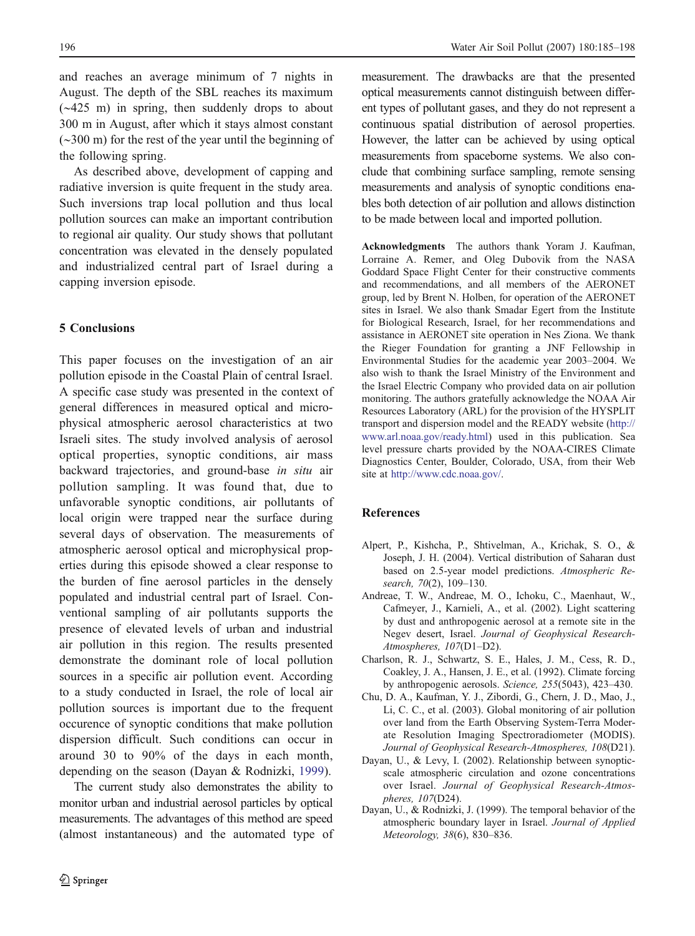<span id="page-11-0"></span>and reaches an average minimum of 7 nights in August. The depth of the SBL reaches its maximum (∼425 m) in spring, then suddenly drops to about 300 m in August, after which it stays almost constant (∼300 m) for the rest of the year until the beginning of the following spring.

As described above, development of capping and radiative inversion is quite frequent in the study area. Such inversions trap local pollution and thus local pollution sources can make an important contribution to regional air quality. Our study shows that pollutant concentration was elevated in the densely populated and industrialized central part of Israel during a capping inversion episode.

# 5 Conclusions

This paper focuses on the investigation of an air pollution episode in the Coastal Plain of central Israel. A specific case study was presented in the context of general differences in measured optical and microphysical atmospheric aerosol characteristics at two Israeli sites. The study involved analysis of aerosol optical properties, synoptic conditions, air mass backward trajectories, and ground-base in situ air pollution sampling. It was found that, due to unfavorable synoptic conditions, air pollutants of local origin were trapped near the surface during several days of observation. The measurements of atmospheric aerosol optical and microphysical properties during this episode showed a clear response to the burden of fine aerosol particles in the densely populated and industrial central part of Israel. Conventional sampling of air pollutants supports the presence of elevated levels of urban and industrial air pollution in this region. The results presented demonstrate the dominant role of local pollution sources in a specific air pollution event. According to a study conducted in Israel, the role of local air pollution sources is important due to the frequent occurence of synoptic conditions that make pollution dispersion difficult. Such conditions can occur in around 30 to 90% of the days in each month, depending on the season (Dayan & Rodnizki, 1999).

The current study also demonstrates the ability to monitor urban and industrial aerosol particles by optical measurements. The advantages of this method are speed (almost instantaneous) and the automated type of measurement. The drawbacks are that the presented optical measurements cannot distinguish between different types of pollutant gases, and they do not represent a continuous spatial distribution of aerosol properties. However, the latter can be achieved by using optical measurements from spaceborne systems. We also conclude that combining surface sampling, remote sensing measurements and analysis of synoptic conditions enables both detection of air pollution and allows distinction to be made between local and imported pollution.

Acknowledgments The authors thank Yoram J. Kaufman, Lorraine A. Remer, and Oleg Dubovik from the NASA Goddard Space Flight Center for their constructive comments and recommendations, and all members of the AERONET group, led by Brent N. Holben, for operation of the AERONET sites in Israel. We also thank Smadar Egert from the Institute for Biological Research, Israel, for her recommendations and assistance in AERONET site operation in Nes Ziona. We thank the Rieger Foundation for granting a JNF Fellowship in Environmental Studies for the academic year 2003–2004. We also wish to thank the Israel Ministry of the Environment and the Israel Electric Company who provided data on air pollution monitoring. The authors gratefully acknowledge the NOAA Air Resources Laboratory (ARL) for the provision of the HYSPLIT transport and dispersion model and the READY website [\(http:/](http://www.arl.noaa.gov/ready.html)/ [www.arl.noaa.gov/ready.htm](http://www.arl.noaa.gov/ready.html)l) used in this publication. Sea level pressure charts provided by the NOAA-CIRES Climate Diagnostics Center, Boulder, Colorado, USA, from their Web site at [http://www.cdc.noaa.gov](http://www.cdc.noaa.gov/)/.

## References

- Alpert, P., Kishcha, P., Shtivelman, A., Krichak, S. O., & Joseph, J. H. (2004). Vertical distribution of Saharan dust based on 2.5-year model predictions. Atmospheric Research, 70(2), 109–130.
- Andreae, T. W., Andreae, M. O., Ichoku, C., Maenhaut, W., Cafmeyer, J., Karnieli, A., et al. (2002). Light scattering by dust and anthropogenic aerosol at a remote site in the Negev desert, Israel. Journal of Geophysical Research-Atmospheres, 107(D1–D2).
- Charlson, R. J., Schwartz, S. E., Hales, J. M., Cess, R. D., Coakley, J. A., Hansen, J. E., et al. (1992). Climate forcing by anthropogenic aerosols. Science, 255(5043), 423–430.
- Chu, D. A., Kaufman, Y. J., Zibordi, G., Chern, J. D., Mao, J., Li, C. C., et al. (2003). Global monitoring of air pollution over land from the Earth Observing System-Terra Moderate Resolution Imaging Spectroradiometer (MODIS). Journal of Geophysical Research-Atmospheres, 108(D21).
- Dayan, U., & Levy, I. (2002). Relationship between synopticscale atmospheric circulation and ozone concentrations over Israel. Journal of Geophysical Research-Atmospheres, 107(D24).
- Dayan, U., & Rodnizki, J. (1999). The temporal behavior of the atmospheric boundary layer in Israel. Journal of Applied Meteorology, 38(6), 830–836.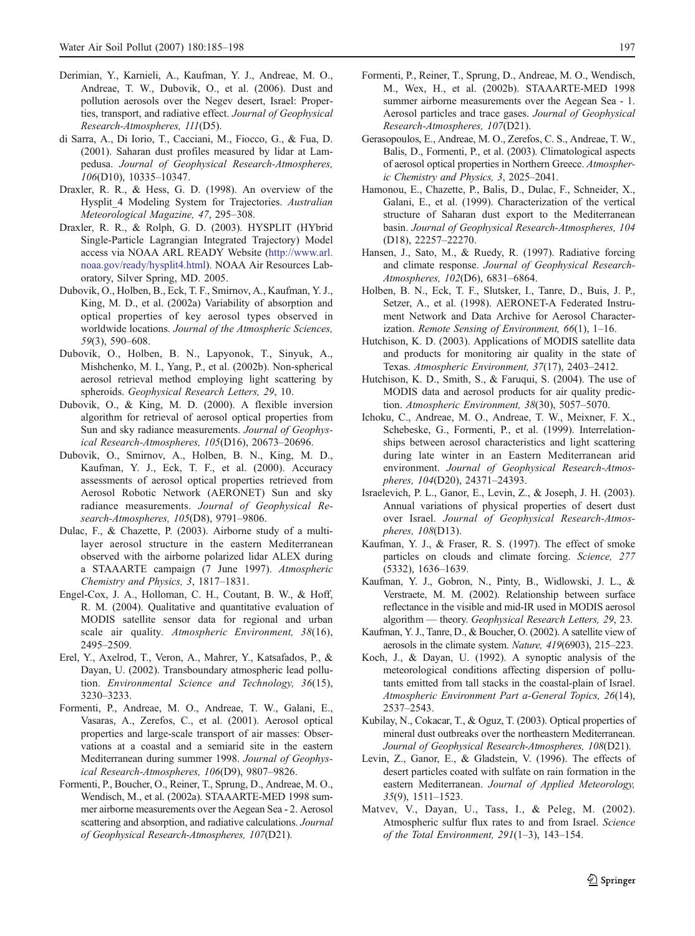- <span id="page-12-0"></span>Derimian, Y., Karnieli, A., Kaufman, Y. J., Andreae, M. O., Andreae, T. W., Dubovik, O., et al. (2006). Dust and pollution aerosols over the Negev desert, Israel: Properties, transport, and radiative effect. Journal of Geophysical Research-Atmospheres, 111(D5).
- di Sarra, A., Di Iorio, T., Cacciani, M., Fiocco, G., & Fua, D. (2001). Saharan dust profiles measured by lidar at Lampedusa. Journal of Geophysical Research-Atmospheres, 106(D10), 10335–10347.
- Draxler, R. R., & Hess, G. D. (1998). An overview of the Hysplit 4 Modeling System for Trajectories. Australian Meteorological Magazine, 47, 295–308.
- Draxler, R. R., & Rolph, G. D. (2003). HYSPLIT (HYbrid Single-Particle Lagrangian Integrated Trajectory) Model access via NOAA ARL READY Website [\(http://www.arl](http://www.arl.noaa.gov/ready/hysplit4.html). [noaa.gov/ready/hysplit4.htm](http://www.arl.noaa.gov/ready/hysplit4.html)l). NOAA Air Resources Laboratory, Silver Spring, MD. 2005.
- Dubovik, O., Holben, B., Eck, T. F., Smirnov, A., Kaufman, Y. J., King, M. D., et al. (2002a) Variability of absorption and optical properties of key aerosol types observed in worldwide locations. Journal of the Atmospheric Sciences, 59(3), 590–608.
- Dubovik, O., Holben, B. N., Lapyonok, T., Sinyuk, A., Mishchenko, M. I., Yang, P., et al. (2002b). Non-spherical aerosol retrieval method employing light scattering by spheroids. Geophysical Research Letters, 29, 10.
- Dubovik, O., & King, M. D. (2000). A flexible inversion algorithm for retrieval of aerosol optical properties from Sun and sky radiance measurements. Journal of Geophysical Research-Atmospheres, 105(D16), 20673–20696.
- Dubovik, O., Smirnov, A., Holben, B. N., King, M. D., Kaufman, Y. J., Eck, T. F., et al. (2000). Accuracy assessments of aerosol optical properties retrieved from Aerosol Robotic Network (AERONET) Sun and sky radiance measurements. Journal of Geophysical Research-Atmospheres, 105(D8), 9791–9806.
- Dulac, F., & Chazette, P. (2003). Airborne study of a multilayer aerosol structure in the eastern Mediterranean observed with the airborne polarized lidar ALEX during a STAAARTE campaign (7 June 1997). Atmospheric Chemistry and Physics, 3, 1817–1831.
- Engel-Cox, J. A., Holloman, C. H., Coutant, B. W., & Hoff, R. M. (2004). Qualitative and quantitative evaluation of MODIS satellite sensor data for regional and urban scale air quality. Atmospheric Environment, 38(16), 2495–2509.
- Erel, Y., Axelrod, T., Veron, A., Mahrer, Y., Katsafados, P., & Dayan, U. (2002). Transboundary atmospheric lead pollution. Environmental Science and Technology, 36(15), 3230–3233.
- Formenti, P., Andreae, M. O., Andreae, T. W., Galani, E., Vasaras, A., Zerefos, C., et al. (2001). Aerosol optical properties and large-scale transport of air masses: Observations at a coastal and a semiarid site in the eastern Mediterranean during summer 1998. Journal of Geophysical Research-Atmospheres, 106(D9), 9807–9826.
- Formenti, P., Boucher, O., Reiner, T., Sprung, D., Andreae, M. O., Wendisch, M., et al. (2002a). STAAARTE-MED 1998 summer airborne measurements over the Aegean Sea - 2. Aerosol scattering and absorption, and radiative calculations. *Journal* of Geophysical Research-Atmospheres, 107(D21).
- Formenti, P., Reiner, T., Sprung, D., Andreae, M. O., Wendisch, M., Wex, H., et al. (2002b). STAAARTE-MED 1998 summer airborne measurements over the Aegean Sea - 1. Aerosol particles and trace gases. Journal of Geophysical Research-Atmospheres, 107(D21).
- Gerasopoulos, E., Andreae, M. O., Zerefos, C. S., Andreae, T. W., Balis, D., Formenti, P., et al. (2003). Climatological aspects of aerosol optical properties in Northern Greece. Atmospheric Chemistry and Physics, 3, 2025–2041.
- Hamonou, E., Chazette, P., Balis, D., Dulac, F., Schneider, X., Galani, E., et al. (1999). Characterization of the vertical structure of Saharan dust export to the Mediterranean basin. Journal of Geophysical Research-Atmospheres, 104 (D18), 22257–22270.
- Hansen, J., Sato, M., & Ruedy, R. (1997). Radiative forcing and climate response. Journal of Geophysical Research-Atmospheres, 102(D6), 6831–6864.
- Holben, B. N., Eck, T. F., Slutsker, I., Tanre, D., Buis, J. P., Setzer, A., et al. (1998). AERONET-A Federated Instrument Network and Data Archive for Aerosol Characterization. Remote Sensing of Environment, 66(1), 1–16.
- Hutchison, K. D. (2003). Applications of MODIS satellite data and products for monitoring air quality in the state of Texas. Atmospheric Environment, 37(17), 2403–2412.
- Hutchison, K. D., Smith, S., & Faruqui, S. (2004). The use of MODIS data and aerosol products for air quality prediction. Atmospheric Environment, 38(30), 5057–5070.
- Ichoku, C., Andreae, M. O., Andreae, T. W., Meixner, F. X., Schebeske, G., Formenti, P., et al. (1999). Interrelationships between aerosol characteristics and light scattering during late winter in an Eastern Mediterranean arid environment. Journal of Geophysical Research-Atmospheres, 104(D20), 24371–24393.
- Israelevich, P. L., Ganor, E., Levin, Z., & Joseph, J. H. (2003). Annual variations of physical properties of desert dust over Israel. Journal of Geophysical Research-Atmospheres, 108(D13).
- Kaufman, Y. J., & Fraser, R. S. (1997). The effect of smoke particles on clouds and climate forcing. Science, 277 (5332), 1636–1639.
- Kaufman, Y. J., Gobron, N., Pinty, B., Widlowski, J. L., & Verstraete, M. M. (2002). Relationship between surface reflectance in the visible and mid-IR used in MODIS aerosol algorithm — theory. Geophysical Research Letters, 29, 23.
- Kaufman, Y. J., Tanre, D., & Boucher, O. (2002). A satellite view of aerosols in the climate system. Nature, 419(6903), 215–223.
- Koch, J., & Dayan, U. (1992). A synoptic analysis of the meteorological conditions affecting dispersion of pollutants emitted from tall stacks in the coastal-plain of Israel. Atmospheric Environment Part a-General Topics, 26(14), 2537–2543.
- Kubilay, N., Cokacar, T., & Oguz, T. (2003). Optical properties of mineral dust outbreaks over the northeastern Mediterranean. Journal of Geophysical Research-Atmospheres, 108(D21).
- Levin, Z., Ganor, E., & Gladstein, V. (1996). The effects of desert particles coated with sulfate on rain formation in the eastern Mediterranean. Journal of Applied Meteorology, 35(9), 1511–1523.
- Matvev, V., Dayan, U., Tass, I., & Peleg, M. (2002). Atmospheric sulfur flux rates to and from Israel. Science of the Total Environment,  $291(1-3)$ , 143-154.